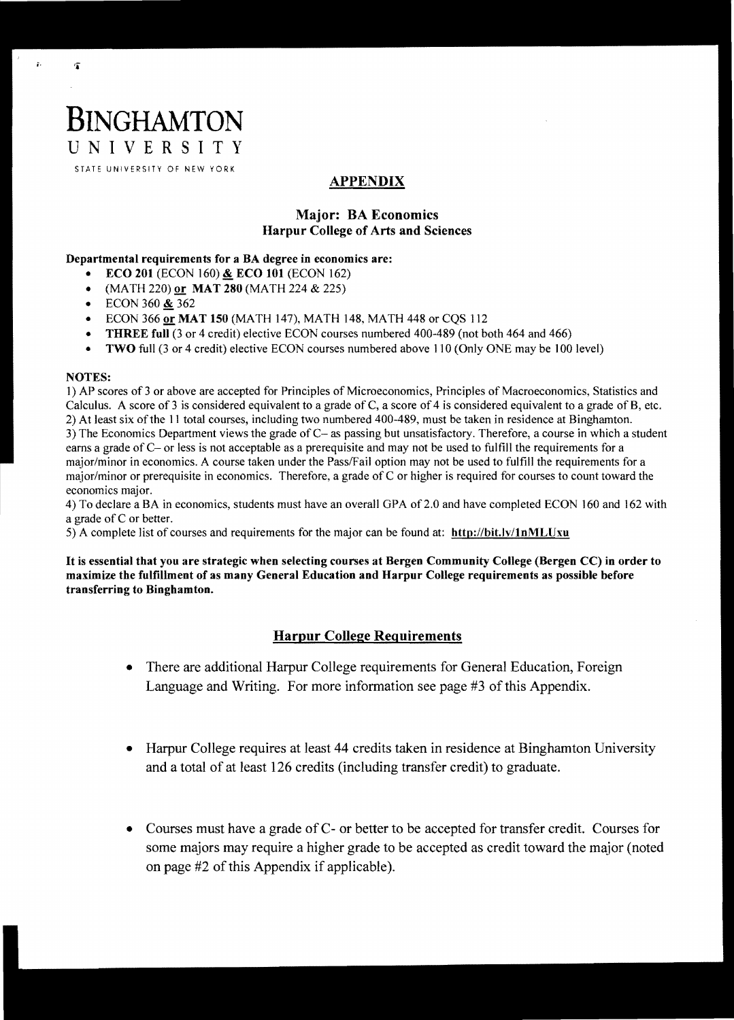# UNIVERSITY STATE UNIVERSITY OF NEW YORK

## APPENDIX

## Major: BA Economics Harpur College of Arts and Sciences

### Departmental requirements for a BA degree in economics are:

- **ECO 201 (ECON 160) & ECO 101 (ECON 162)**
- $(MATH 220)$  or  $MAT 280 (MATH 224 \& 225)$
- ECON 360  $& 362$

**BINGHAMTON** 

- ECON 366 or MAT 150 (MATH 147), MATH 148, MATH 448 or CQS 112
- **THREE full** (3 or 4 credit) elective ECON courses numbered 400-489 (not both 464 and 466)
- TWO full (3 or 4 credit) elective ECON courses numbered above 110 (Only ONE may be 100 level)

#### NOTES:

 $\ddot{r}$  is in  $\ddot{r}$ 

1) AP scores of 3 or above are accepted for Principles of Microeconomics, Principles of Macroeconomics, Statistics and Calculus. A score of 3 is considered equivalent to a grade of C, a score of 4 is considered equivalent to a grade of B, etc. 2) At least six ofthe 11 total courses, including two numbered 400-489, must be taken in residence at Binghamton. 3) The Economics Department views the grade of C- as passing but unsatisfactory. Therefore, a course in which a student earns a grade of C- or less is not acceptable as a prerequisite and may not be used to fulfill the requirements for a major/minor in economics. A course taken under the Pass/Fail option may not be used to fulfill the requirements for a major/minor or prerequisite in economics. Therefore, a grade of C or higher is required for courses to count toward the economics major.

4) To declare a BA in economics, students must have an overall OPA of2.0 and have completed ECON 160 and 162 with a grade of C or better.

5) A complete list of courses and requirements for the major can be found at: http://bit.ly/lnMLUxu

It is essential that you are strategic when selecting courses at Bergen Community College (Bergen CC) in order to maximize the fulfillment of as many General Education and Harpur College requirements as possible before transferring to Binghamton.

## Harpur College Requirements

- There are additional Harpur College requirements for General Education, Foreign Language and Writing. For more information see page #3 of this Appendix.
- Harpur College requires at least 44 credits taken in residence at Binghamton University and a total of at least 126 credits (including transfer credit) to graduate.
- Courses must have a grade of C- or better to be accepted for transfer credit. Courses for some majors may require a higher grade to be accepted as credit toward the major (noted on page #2 of this Appendix if applicable).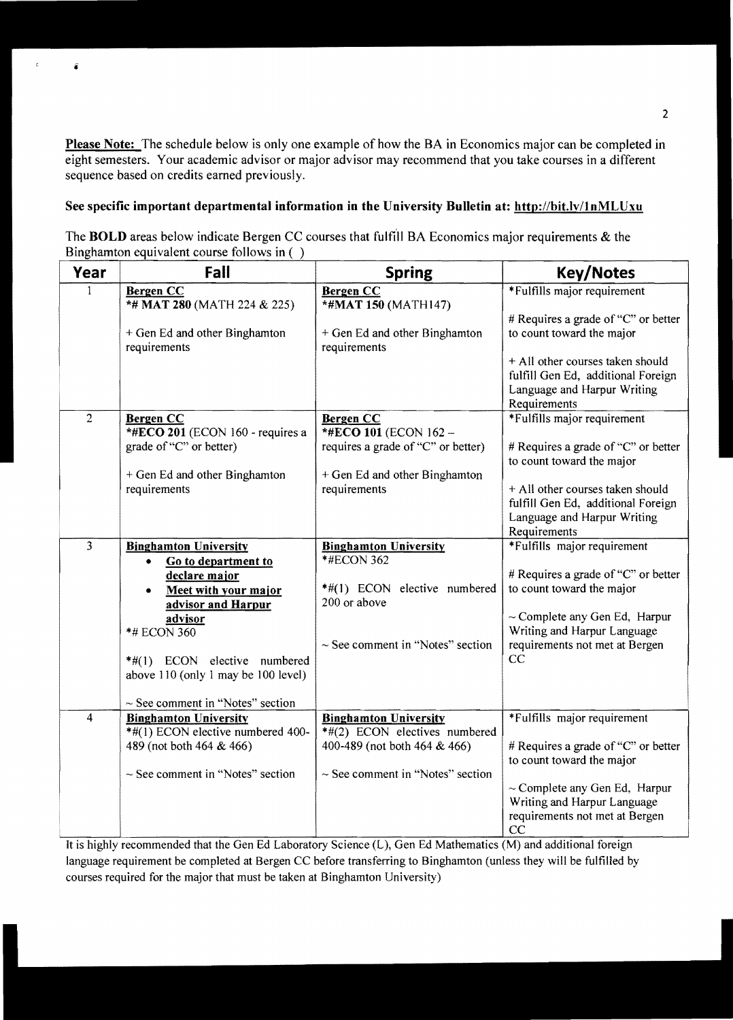Please Note: The schedule below is only one example of how the BA in Economics major can be completed in eight semesters. Your academic advisor or major advisor may recommend that you take courses in a different sequence based on credits earned previously.

## See specific important departmental information in the University Bulletin at: http://bit.ly/1nMLUxu

i

ż

The **BOLD** areas below indicate Bergen CC courses that fulfill BA Economics major requirements & the Binghamton equivalent course follows in ( )

| Year           | Fall                                                    | <b>Spring</b>                                 | <b>Key/Notes</b>                                                                                                      |
|----------------|---------------------------------------------------------|-----------------------------------------------|-----------------------------------------------------------------------------------------------------------------------|
|                | <b>Bergen CC</b><br>*# MAT 280 (MATH 224 & 225)         | <b>Bergen CC</b><br>*#MAT 150 (MATH147)       | *Fulfills major requirement<br># Requires a grade of "C" or better                                                    |
|                | + Gen Ed and other Binghamton<br>requirements           | + Gen Ed and other Binghamton<br>requirements | to count toward the major                                                                                             |
|                |                                                         |                                               | + All other courses taken should<br>fulfill Gen Ed, additional Foreign<br>Language and Harpur Writing<br>Requirements |
| $\overline{2}$ | <b>Bergen CC</b>                                        | <b>Bergen CC</b>                              | *Fulfills major requirement                                                                                           |
|                | *#ECO 201 (ECON 160 - requires a                        | *#ECO 101 (ECON 162 -                         |                                                                                                                       |
|                | grade of "C" or better)                                 | requires a grade of "C" or better)            | # Requires a grade of "C" or better                                                                                   |
|                |                                                         |                                               | to count toward the major                                                                                             |
|                | + Gen Ed and other Binghamton<br>requirements           | + Gen Ed and other Binghamton<br>requirements | + All other courses taken should                                                                                      |
|                |                                                         |                                               | fulfill Gen Ed, additional Foreign                                                                                    |
|                |                                                         |                                               | Language and Harpur Writing                                                                                           |
|                |                                                         |                                               | Requirements                                                                                                          |
| $\overline{3}$ | <b>Binghamton University</b>                            | <b>Binghamton University</b>                  | *Fulfills major requirement                                                                                           |
|                | Go to department to<br>٠                                | *#ECON 362                                    |                                                                                                                       |
|                | declare major                                           | *#(1) ECON elective numbered                  | # Requires a grade of "C" or better<br>to count toward the major                                                      |
|                | Meet with your major<br>$\bullet$<br>advisor and Harpur | 200 or above                                  |                                                                                                                       |
|                | advisor                                                 |                                               | $\sim$ Complete any Gen Ed, Harpur                                                                                    |
|                | *# ECON 360                                             |                                               | Writing and Harpur Language                                                                                           |
|                |                                                         | $\sim$ See comment in "Notes" section         | requirements not met at Bergen                                                                                        |
|                | *#(1) ECON elective numbered                            |                                               | CC                                                                                                                    |
|                | above 110 (only 1 may be 100 level)                     |                                               |                                                                                                                       |
|                | $\sim$ See comment in "Notes" section                   |                                               |                                                                                                                       |
| $\overline{4}$ | <b>Binghamton University</b>                            | <b>Binghamton University</b>                  | *Fulfills major requirement                                                                                           |
|                | *#(1) ECON elective numbered 400-                       | *#(2) ECON electives numbered                 |                                                                                                                       |
|                | 489 (not both 464 & 466)                                | 400-489 (not both 464 & 466)                  | # Requires a grade of "C" or better<br>to count toward the major                                                      |
|                | $\sim$ See comment in "Notes" section                   | $\sim$ See comment in "Notes" section         |                                                                                                                       |
|                |                                                         |                                               | $\sim$ Complete any Gen Ed, Harpur<br>Writing and Harpur Language                                                     |
|                |                                                         |                                               | requirements not met at Bergen<br>CC                                                                                  |

It is highly recommended that the Gen Ed Laboratory Science (L), Gen Ed Mathematics (M) and additional foreign language requirement be completed at Bergen CC before transferring to Binghamton (unless they will be fulfilled by courses required for the major that must be taken at Binghamton University)